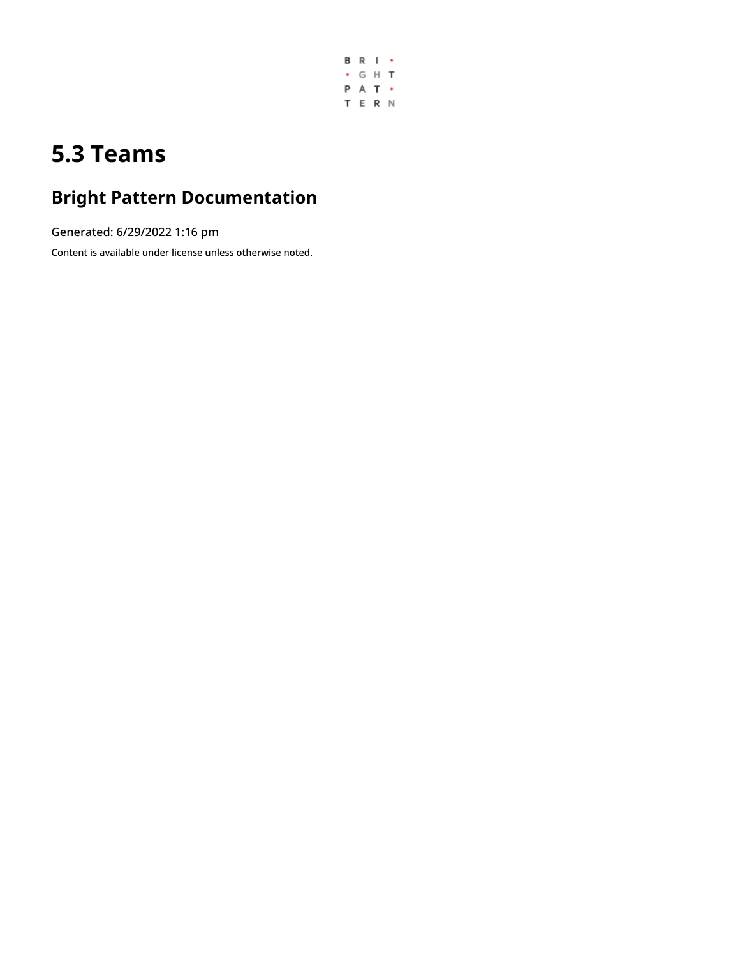

# **5.3 Teams**

### **Bright Pattern Documentation**

Generated: 6/29/2022 1:16 pm

Content is available under license unless otherwise noted.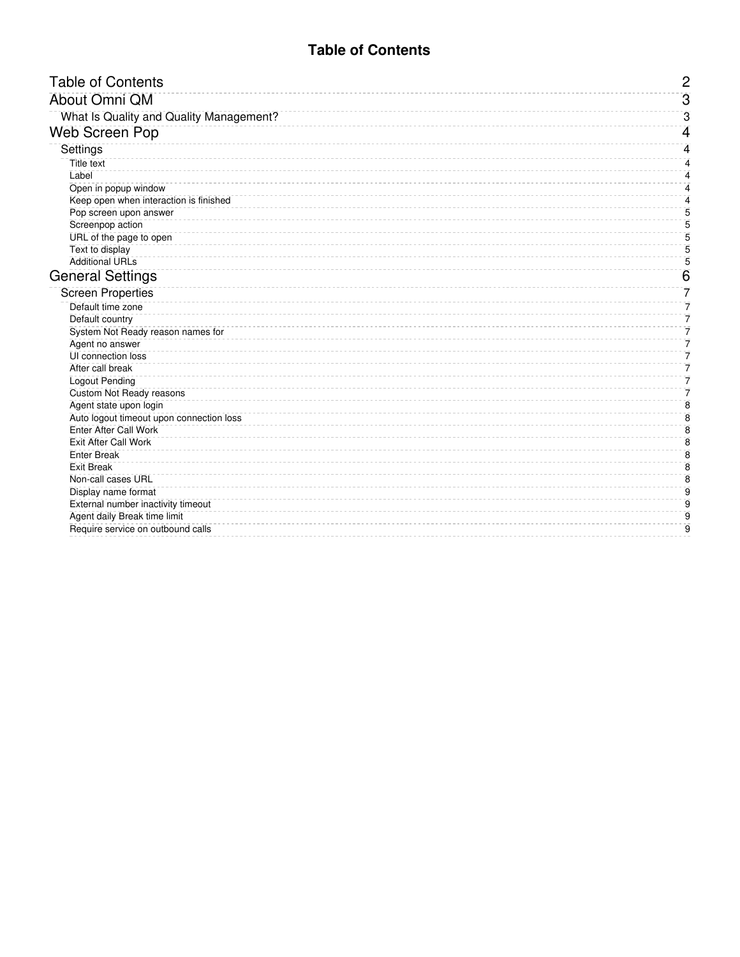<span id="page-1-0"></span>

| <b>Table of Contents</b>                 | $\overline{2}$ |
|------------------------------------------|----------------|
| About Omni QM                            | $\overline{3}$ |
| What Is Quality and Quality Management?  | 3              |
| <b>Web Screen Pop</b>                    | 4              |
| Settings                                 | 4              |
| <b>Title text</b>                        | 4              |
| Label                                    | 4              |
| Open in popup window                     | 4              |
| Keep open when interaction is finished   | 4              |
| Pop screen upon answer                   | 5              |
| Screenpop action                         | 5              |
| URL of the page to open                  | 5              |
| Text to display                          | 5              |
| <b>Additional URLs</b>                   | 5              |
| <b>General Settings</b>                  | 6              |
| <b>Screen Properties</b>                 | 7              |
| Default time zone                        | 7              |
| Default country                          | 7              |
| System Not Ready reason names for        | 7              |
| Agent no answer                          | 7              |
| UI connection loss                       | 7              |
| After call break                         | 7              |
| <b>Logout Pending</b>                    | 7              |
| <b>Custom Not Ready reasons</b>          | 7              |
| Agent state upon login                   | 8              |
| Auto logout timeout upon connection loss | 8              |
| <b>Enter After Call Work</b>             | 8              |
| <b>Exit After Call Work</b>              | 8              |
| <b>Enter Break</b>                       | $\overline{8}$ |
| <b>Exit Break</b>                        | 8              |
| Non-call cases URL                       | 8              |
| Display name format                      | 9              |
| External number inactivity timeout       | 9              |
| Agent daily Break time limit             | 9              |
| Require service on outbound calls        | $\overline{9}$ |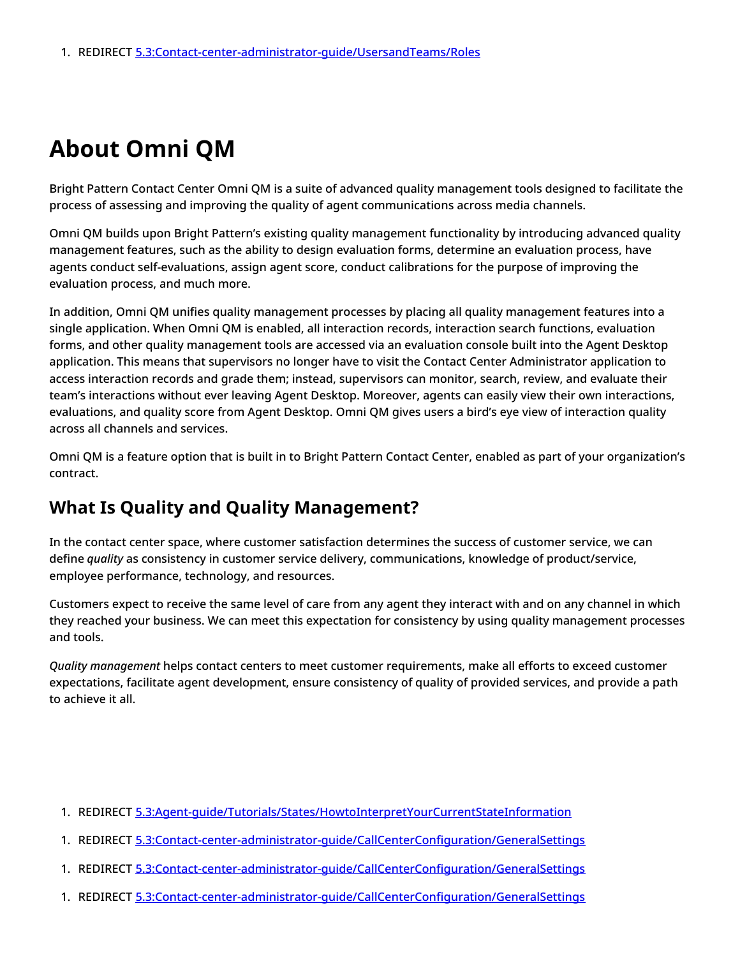## <span id="page-2-0"></span>**About Omni QM**

Bright Pattern Contact Center Omni QM is a suite of advanced quality management tools designed to facilitate the process of assessing and improving the quality of agent communications across media channels.

Omni QM builds upon Bright Pattern's existing quality management functionality by introducing advanced quality management features, such as the ability to design evaluation forms, determine an evaluation process, have agents conduct self-evaluations, assign agent score, conduct calibrations for the purpose of improving the evaluation process, and much more.

In addition, Omni QM unifies quality management processes by placing all quality management features into a single application. When Omni QM is enabled, all interaction records, interaction search functions, evaluation forms, and other quality management tools are accessed via an evaluation console built into the Agent Desktop application. This means that supervisors no longer have to visit the Contact Center Administrator application to access interaction records and grade them; instead, supervisors can monitor, search, review, and evaluate their team's interactions without ever leaving Agent Desktop. Moreover, agents can easily view their own interactions, evaluations, and quality score from Agent Desktop. Omni QM gives users a bird's eye view of interaction quality across all channels and services.

Omni QM is a feature option that is built in to Bright Pattern Contact Center, enabled as part of your organization's contract.

### <span id="page-2-1"></span>**What Is Quality and Quality Management?**

In the contact center space, where customer satisfaction determines the success of customer service, we can define *quality* as consistency in customer service delivery, communications, knowledge of product/service, employee performance, technology, and resources.

Customers expect to receive the same level of care from any agent they interact with and on any channel in which they reached your business. We can meet this expectation for consistency by using quality management processes and tools.

*Quality management* helps contact centers to meet customer requirements, make all efforts to exceed customer expectations, facilitate agent development, ensure consistency of quality of provided services, and provide a path to achieve it all.

- 1. REDIRECT [5.3:Agent-guide/Tutorials/States/HowtoInterpretYourCurrentStateInformation](https://help.brightpattern.com/5.3:Agent-guide/Tutorials/States/HowtoInterpretYourCurrentStateInformation)
- 1. REDIRECT [5.3:Contact-center-administrator-guide/CallCenterConfiguration/GeneralSettings](https://help.brightpattern.com/5.3:Contact-center-administrator-guide/CallCenterConfiguration/GeneralSettings)
- 1. REDIRECT [5.3:Contact-center-administrator-guide/CallCenterConfiguration/GeneralSettings](https://help.brightpattern.com/5.3:Contact-center-administrator-guide/CallCenterConfiguration/GeneralSettings)
- 1. REDIRECT [5.3:Contact-center-administrator-guide/CallCenterConfiguration/GeneralSettings](https://help.brightpattern.com/5.3:Contact-center-administrator-guide/CallCenterConfiguration/GeneralSettings)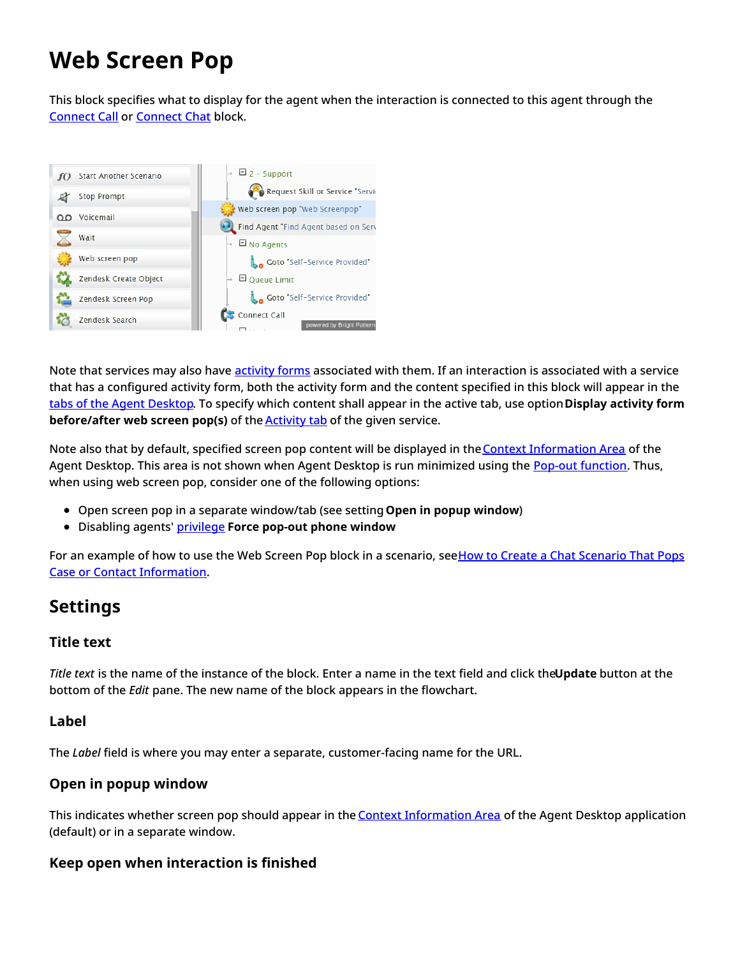# <span id="page-3-0"></span>**Web Screen Pop**

This block specifies what to display for the agent when the interaction is connected to this agent through the [Connect](https://help.brightpattern.com/5.3:Contact-center-administrator-guide/UsersandTeams/Teams/?action=html-localimages-export#topic_scenario-builder-reference-guide.2Fconnectcall) Call or [Connect](https://help.brightpattern.com/5.3:Contact-center-administrator-guide/UsersandTeams/Teams/?action=html-localimages-export#topic_scenario-builder-reference-guide.2Fconnectchat) Chat block.



Note that services may also have [activity](https://help.brightpattern.com/5.3:Contact-center-administrator-guide/UsersandTeams/Teams/?action=html-localimages-export#topic_contact-center-administrator-guide.2Factivityforms) forms associated with them. If an interaction is associated with a service that has a configured activity form, both the activity form and the content specified in this block will appear in the tabs of the Agent [Desktop](https://help.brightpattern.com/5.3:Contact-center-administrator-guide/UsersandTeams/Teams/?action=html-localimages-export#topic_agent-guide.2Funderstandingscreen-pop). To specify which content shall appear in the active tab, use option**Display activity form before/after web screen pop(s)** of the [Activity](https://help.brightpattern.com/5.3:Contact-center-administrator-guide/UsersandTeams/Teams/?action=html-localimages-export#topic_contact-center-administrator-guide.2Factivitytab) tab of the given service.

Note also that by default, specified screen pop content will be displayed in the Context [Information](https://help.brightpattern.com/5.3:Contact-center-administrator-guide/UsersandTeams/Teams/?action=html-localimages-export#topic_agent-guide.2Fuserinterfaceoverview) Area of the Agent Desktop. This area is not shown when Agent Desktop is run minimized using the Pop-out [function](https://help.brightpattern.com/5.3:Contact-center-administrator-guide/UsersandTeams/Teams/?action=html-localimages-export#topic_agent-guide.2Funderstandingscreen-pop). Thus, when using web screen pop, consider one of the following options:

- Open screen pop in a separate window/tab (see setting**Open in popup window**)
- Disabling agents' [privilege](https://help.brightpattern.com/5.3:Contact-center-administrator-guide/UsersandTeams/Teams/?action=html-localimages-export#topic_contact-center-administrator-guide.2Fprivileges) **Force pop-out phone window**

For an example of how to use the Web Screen Pop block in a scenario, seeHow to Create a Chat Scenario That Pops Case or Contact [Information.](https://help.brightpattern.com/5.3:Contact-center-administrator-guide/UsersandTeams/Teams/?action=html-localimages-export#topic_scenario-builder-reference-guide.2Fhowtocreatechatscenariothatpopscaseorcontactinformation)

### <span id="page-3-1"></span>**Settings**

#### <span id="page-3-2"></span>**Title text**

*Title text* is the name of the instance of the block. Enter a name in the text field and click the**Update** button at the bottom of the *Edit* pane. The new name of the block appears in the flowchart.

#### <span id="page-3-3"></span>**Label**

The *Label* field is where you may enter a separate, customer-facing name for the URL.

#### <span id="page-3-4"></span>**Open in popup window**

This indicates whether screen pop should appear in the Context [Information](https://help.brightpattern.com/5.3:Contact-center-administrator-guide/UsersandTeams/Teams/?action=html-localimages-export#topic_agent-guide.2Fuserinterfaceoverview) Area of the Agent Desktop application (default) or in a separate window.

#### <span id="page-3-5"></span>**Keep open when interaction is finished**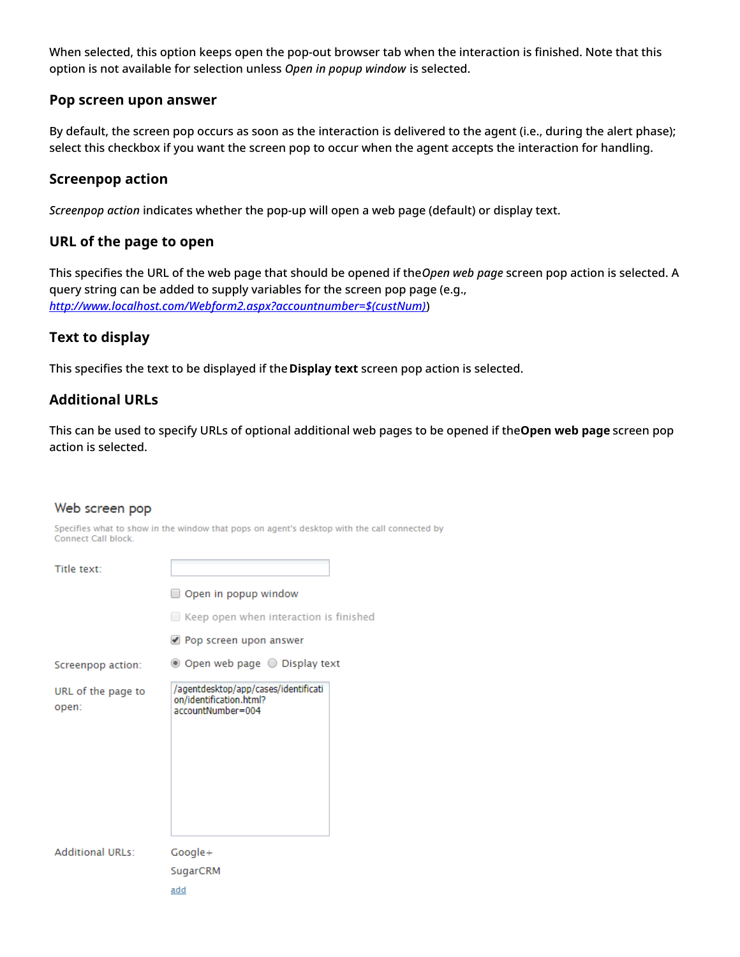When selected, this option keeps open the pop-out browser tab when the interaction is finished. Note that this option is not available for selection unless *Open in popup window* is selected.

#### <span id="page-4-0"></span>**Pop screen upon answer**

By default, the screen pop occurs as soon as the interaction is delivered to the agent (i.e., during the alert phase); select this checkbox if you want the screen pop to occur when the agent accepts the interaction for handling.

#### <span id="page-4-1"></span>**Screenpop action**

*Screenpop action* indicates whether the pop-up will open a web page (default) or display text.

#### <span id="page-4-2"></span>**URL of the page to open**

This specifies the URL of the web page that should be opened if the*Open web page* screen pop action is selected. A query string can be added to supply variables for the screen pop page (e.g., *[http://www.localhost.com/Webform2.aspx?accountnumber=\\$\(custNum\)](http://www.localhost.com/Webform2.aspx?accountnumber=$(custNum))*)

#### <span id="page-4-3"></span>**Text to display**

This specifies the text to be displayed if the**Display text** screen pop action is selected.

#### <span id="page-4-4"></span>**Additional URLs**

This can be used to specify URLs of optional additional web pages to be opened if the**Open web page** screen pop action is selected.

#### Web screen pop

Specifies what to show in the window that pops on agent's desktop with the call connected by Connect Call block.

| Title text:                 |                                                                                      |  |
|-----------------------------|--------------------------------------------------------------------------------------|--|
|                             | Open in popup window                                                                 |  |
|                             | $\Box$ Keep open when interaction is finished                                        |  |
|                             | Pop screen upon answer                                                               |  |
| Screenpop action:           | ◎ Open web page ○ Display text                                                       |  |
| URL of the page to<br>open: | /agentdesktop/app/cases/identificati<br>on/identification.html?<br>accountNumber=004 |  |
| <b>Additional URLs:</b>     | Google+                                                                              |  |
|                             | SugarCRM                                                                             |  |
|                             | add                                                                                  |  |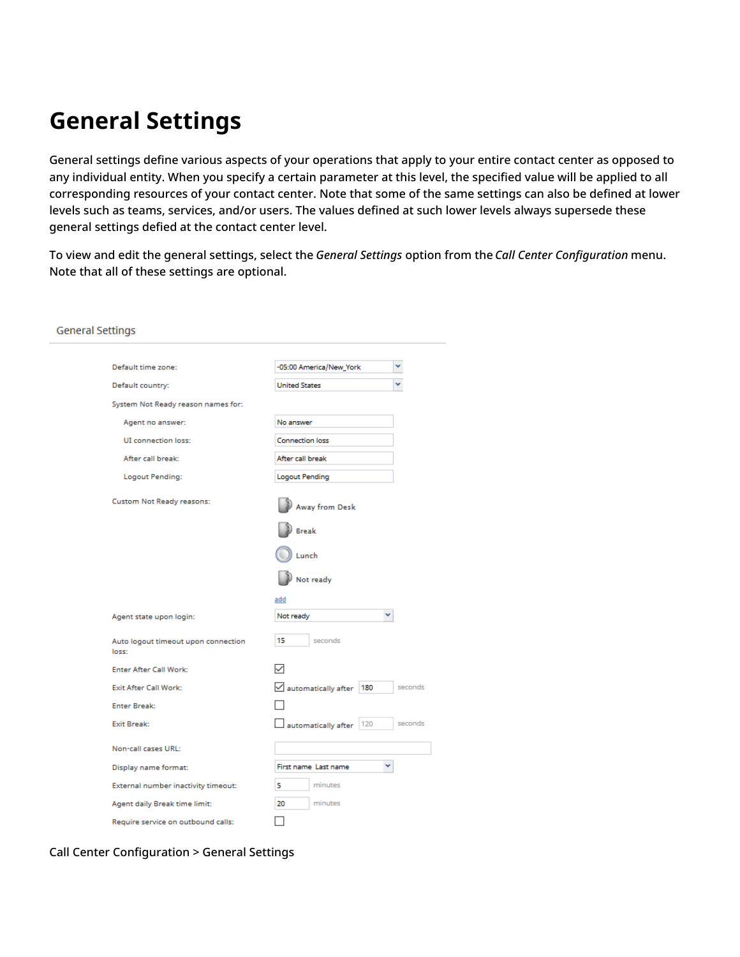## <span id="page-5-0"></span>**General Settings**

General settings define various aspects of your operations that apply to your entire contact center as opposed to any individual entity. When you specify a certain parameter at this level, the specified value will be applied to all corresponding resources of your contact center. Note that some of the same settings can also be defined at lower levels such as teams, services, and/or users. The values defined at such lower levels always supersede these general settings defied at the contact center level.

To view and edit the general settings, select the *General Settings* option from the *Call Center Configuration* menu. Note that all of these settings are optional.

| <b>General Settings</b>                      |                                              |
|----------------------------------------------|----------------------------------------------|
|                                              |                                              |
| Default time zone:                           | v<br>-05:00 America/New_York                 |
| Default country:                             | <b>United States</b>                         |
| System Not Ready reason names for:           |                                              |
| Agent no answer:                             | No answer                                    |
| <b>UI</b> connection loss:                   | <b>Connection loss</b>                       |
| After call break:                            | After call break                             |
| Logout Pending:                              | Logout Pending                               |
| <b>Custom Not Ready reasons:</b>             | Away from Desk                               |
|                                              | <b>Break</b>                                 |
|                                              | Lunch                                        |
|                                              | Not ready                                    |
|                                              | add                                          |
| Agent state upon login:                      | v<br>Not ready                               |
| Auto logout timeout upon connection<br>loss: | 15<br>seconds                                |
| <b>Enter After Call Work:</b>                |                                              |
| <b>Exit After Call Work:</b>                 | $\vee$ automatically after<br>180<br>seconds |
| <b>Enter Break:</b>                          |                                              |
| Exit Break:                                  | 120<br>seconds<br>automatically after        |
| Non-call cases URL:                          |                                              |
| Display name format:                         | First name Last name<br>v                    |
| External number inactivity timeout:          | minutes<br>5                                 |
| Agent daily Break time limit:                | 20<br>minutes                                |
| Require service on outbound calls:           |                                              |

Call Center Configuration > General Settings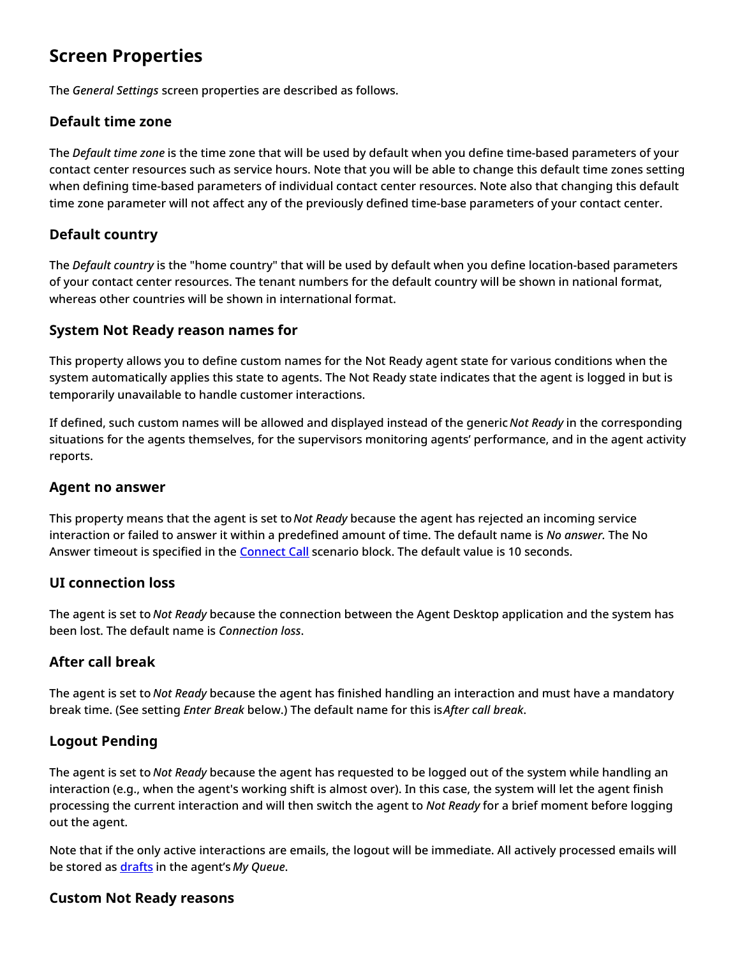### <span id="page-6-0"></span>**Screen Properties**

The *General Settings* screen properties are described as follows.

#### <span id="page-6-1"></span>**Default time zone**

The *Default time zone* is the time zone that will be used by default when you define time-based parameters of your contact center resources such as service hours. Note that you will be able to change this default time zones setting when defining time-based parameters of individual contact center resources. Note also that changing this default time zone parameter will not affect any of the previously defined time-base parameters of your contact center.

#### <span id="page-6-2"></span>**Default country**

The *Default country* is the "home country" that will be used by default when you define location-based parameters of your contact center resources. The tenant numbers for the default country will be shown in national format, whereas other countries will be shown in international format.

#### <span id="page-6-3"></span>**System Not Ready reason names for**

This property allows you to define custom names for the Not Ready agent state for various conditions when the system automatically applies this state to agents. The Not Ready state indicates that the agent is logged in but is temporarily unavailable to handle customer interactions.

If defined, such custom names will be allowed and displayed instead of the generic *Not Ready* in the corresponding situations for the agents themselves, for the supervisors monitoring agents' performance, and in the agent activity reports.

#### <span id="page-6-4"></span>**Agent no answer**

This property means that the agent is set to *Not Ready* because the agent has rejected an incoming service interaction or failed to answer it within a predefined amount of time. The default name is *No answer.* The No Answer timeout is specified in the [Connect](https://help.brightpattern.com/5.3:Contact-center-administrator-guide/UsersandTeams/Teams/?action=html-localimages-export#topic_scenario-builder-reference-guide.2Fconnectcall) Call scenario block. The default value is 10 seconds.

#### <span id="page-6-5"></span>**UI connection loss**

The agent is set to *Not Ready* because the connection between the Agent Desktop application and the system has been lost. The default name is *Connection loss*.

#### <span id="page-6-6"></span>**After call break**

The agent is set to *Not Ready* because the agent has finished handling an interaction and must have a mandatory break time. (See setting *Enter Break* below.) The default name for this is*After call break*.

#### <span id="page-6-7"></span>**Logout Pending**

The agent is set to *Not Ready* because the agent has requested to be logged out of the system while handling an interaction (e.g., when the agent's working shift is almost over). In this case, the system will let the agent finish processing the current interaction and will then switch the agent to *Not Ready* for a brief moment before logging out the agent.

Note that if the only active interactions are emails, the logout will be immediate. All actively processed emails will be stored as [drafts](https://help.brightpattern.com/5.3:Contact-center-administrator-guide/UsersandTeams/Teams/?action=html-localimages-export#topic_agent-guide.2Fhowtosaveanemailasadraft) in the agent's *My Queue*.

#### <span id="page-6-8"></span>**Custom Not Ready reasons**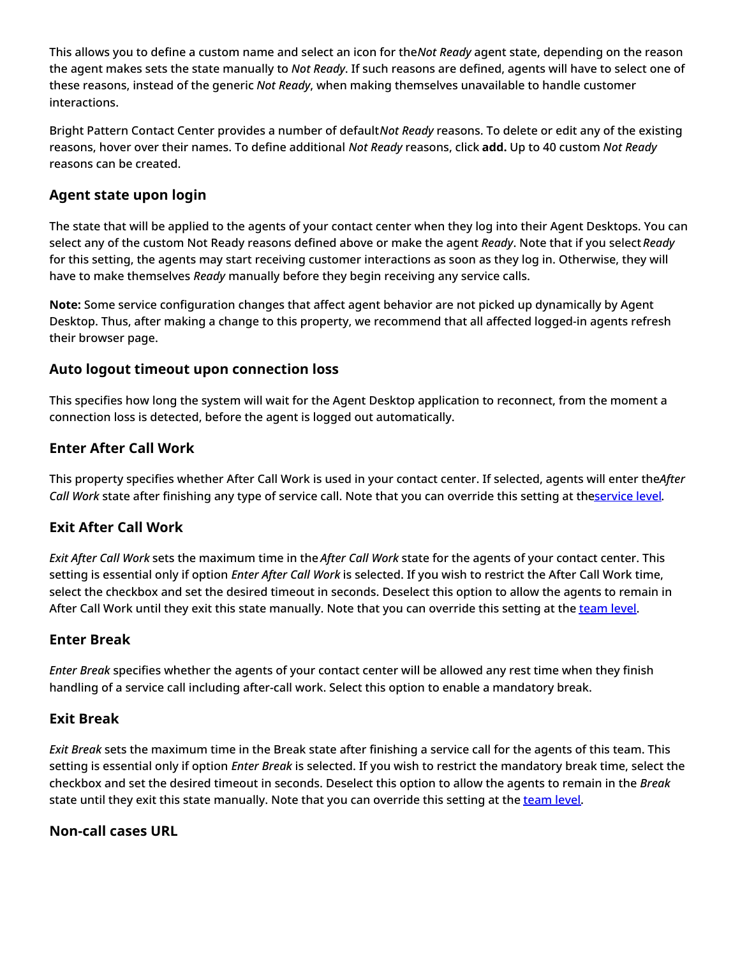This allows you to define a custom name and select an icon for the*Not Ready* agent state, depending on the reason the agent makes sets the state manually to *Not Ready*. If such reasons are defined, agents will have to select one of these reasons, instead of the generic *Not Ready*, when making themselves unavailable to handle customer interactions.

Bright Pattern Contact Center provides a number of default*Not Ready* reasons. To delete or edit any of the existing reasons, hover over their names. To define additional *Not Ready* reasons, click **add.** Up to 40 custom *Not Ready* reasons can be created.

#### <span id="page-7-0"></span>**Agent state upon login**

The state that will be applied to the agents of your contact center when they log into their Agent Desktops. You can select any of the custom Not Ready reasons defined above or make the agent *Ready*. Note that if you select *Ready* for this setting, the agents may start receiving customer interactions as soon as they log in. Otherwise, they will have to make themselves *Ready* manually before they begin receiving any service calls.

**Note:** Some service configuration changes that affect agent behavior are not picked up dynamically by Agent Desktop. Thus, after making a change to this property, we recommend that all affected logged-in agents refresh their browser page.

#### <span id="page-7-1"></span>**Auto logout timeout upon connection loss**

This specifies how long the system will wait for the Agent Desktop application to reconnect, from the moment a connection loss is detected, before the agent is logged out automatically.

#### <span id="page-7-2"></span>**Enter After Call Work**

This property specifies whether After Call Work is used in your contact center. If selected, agents will enter the*After Call Work* state after finishing any type of service call. Note that you can override this setting at th[eservice](https://help.brightpattern.com/5.3:Contact-center-administrator-guide/UsersandTeams/Teams/?action=html-localimages-export#topic_contact-center-administrator-guide.2Fpropertiestab) level.

#### <span id="page-7-3"></span>**Exit After Call Work**

*Exit After Call Work* sets the maximum time in the *After Call Work* state for the agents of your contact center. This setting is essential only if option *Enter After Call Work* is selected. If you wish to restrict the After Call Work time, select the checkbox and set the desired timeout in seconds. Deselect this option to allow the agents to remain in After Call Work until they exit this state manually. Note that you can override this setting at the [team](https://help.brightpattern.com/5.3:Contact-center-administrator-guide/UsersandTeams/Teams/?action=html-localimages-export#topic_contact-center-administrator-guide.2Fteams) level.

#### <span id="page-7-4"></span>**Enter Break**

*Enter Break* specifies whether the agents of your contact center will be allowed any rest time when they finish handling of a service call including after-call work. Select this option to enable a mandatory break.

#### <span id="page-7-5"></span>**Exit Break**

*Exit Break* sets the maximum time in the Break state after finishing a service call for the agents of this team. This setting is essential only if option *Enter Break* is selected. If you wish to restrict the mandatory break time, select the checkbox and set the desired timeout in seconds. Deselect this option to allow the agents to remain in the *Break* state until they exit this state manually. Note that you can override this setting at the [team](https://help.brightpattern.com/5.3:Contact-center-administrator-guide/UsersandTeams/Teams/?action=html-localimages-export#topic_contact-center-administrator-guide.2Fteams) level.

#### <span id="page-7-6"></span>**Non-call cases URL**